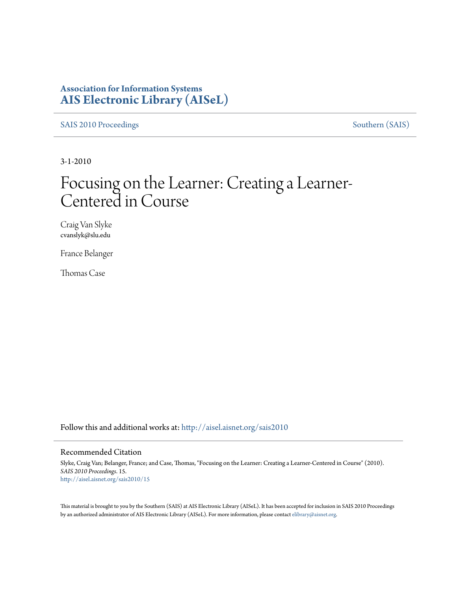### **Association for Information Systems [AIS Electronic Library \(AISeL\)](http://aisel.aisnet.org?utm_source=aisel.aisnet.org%2Fsais2010%2F15&utm_medium=PDF&utm_campaign=PDFCoverPages)**

[SAIS 2010 Proceedings](http://aisel.aisnet.org/sais2010?utm_source=aisel.aisnet.org%2Fsais2010%2F15&utm_medium=PDF&utm_campaign=PDFCoverPages) [Southern \(SAIS\)](http://aisel.aisnet.org/sais?utm_source=aisel.aisnet.org%2Fsais2010%2F15&utm_medium=PDF&utm_campaign=PDFCoverPages)

3-1-2010

# Focusing on the Learner: Creating a Learner-Centered in Course

Craig Van Slyke cvanslyk@slu.edu

France Belanger

Thomas Case

Follow this and additional works at: [http://aisel.aisnet.org/sais2010](http://aisel.aisnet.org/sais2010?utm_source=aisel.aisnet.org%2Fsais2010%2F15&utm_medium=PDF&utm_campaign=PDFCoverPages)

#### Recommended Citation

Slyke, Craig Van; Belanger, France; and Case, Thomas, "Focusing on the Learner: Creating a Learner-Centered in Course" (2010). *SAIS 2010 Proceedings*. 15. [http://aisel.aisnet.org/sais2010/15](http://aisel.aisnet.org/sais2010/15?utm_source=aisel.aisnet.org%2Fsais2010%2F15&utm_medium=PDF&utm_campaign=PDFCoverPages)

This material is brought to you by the Southern (SAIS) at AIS Electronic Library (AISeL). It has been accepted for inclusion in SAIS 2010 Proceedings by an authorized administrator of AIS Electronic Library (AISeL). For more information, please contact [elibrary@aisnet.org](mailto:elibrary@aisnet.org%3E).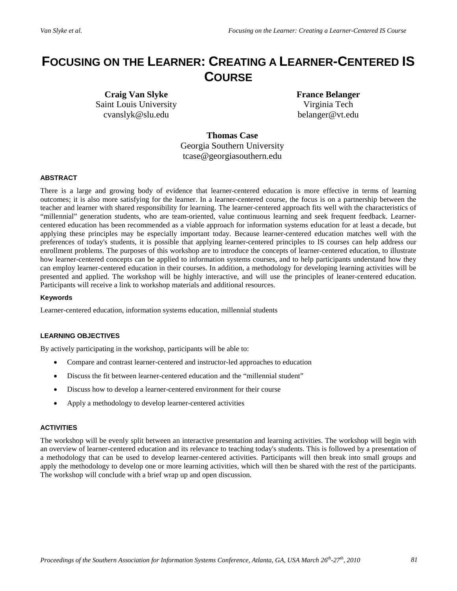## **FOCUSING ON THE LEARNER: CREATING A LEARNER-CENTERED IS COURSE**

**Craig Van Slyke** Saint Louis University cvanslyk@slu.edu

**France Belanger** Virginia Tech belanger@vt.edu

**Thomas Case**  Georgia Southern University tcase@georgiasouthern.edu

#### **ABSTRACT**

There is a large and growing body of evidence that learner-centered education is more effective in terms of learning outcomes; it is also more satisfying for the learner. In a learner-centered course, the focus is on a partnership between the teacher and learner with shared responsibility for learning. The learner-centered approach fits well with the characteristics of "millennial" generation students, who are team-oriented, value continuous learning and seek frequent feedback. Learnercentered education has been recommended as a viable approach for information systems education for at least a decade, but applying these principles may be especially important today. Because learner-centered education matches well with the preferences of today's students, it is possible that applying learner-centered principles to IS courses can help address our enrollment problems. The purposes of this workshop are to introduce the concepts of learner-centered education, to illustrate how learner-centered concepts can be applied to information systems courses, and to help participants understand how they can employ learner-centered education in their courses. In addition, a methodology for developing learning activities will be presented and applied. The workshop will be highly interactive, and will use the principles of leaner-centered education. Participants will receive a link to workshop materials and additional resources.

#### **Keywords**

Learner-centered education, information systems education, millennial students

#### **LEARNING OBJECTIVES**

By actively participating in the workshop, participants will be able to:

- Compare and contrast learner-centered and instructor-led approaches to education
- Discuss the fit between learner-centered education and the "millennial student"
- Discuss how to develop a learner-centered environment for their course
- Apply a methodology to develop learner-centered activities

#### **ACTIVITIES**

The workshop will be evenly split between an interactive presentation and learning activities. The workshop will begin with an overview of learner-centered education and its relevance to teaching today's students. This is followed by a presentation of a methodology that can be used to develop learner-centered activities. Participants will then break into small groups and apply the methodology to develop one or more learning activities, which will then be shared with the rest of the participants. The workshop will conclude with a brief wrap up and open discussion.